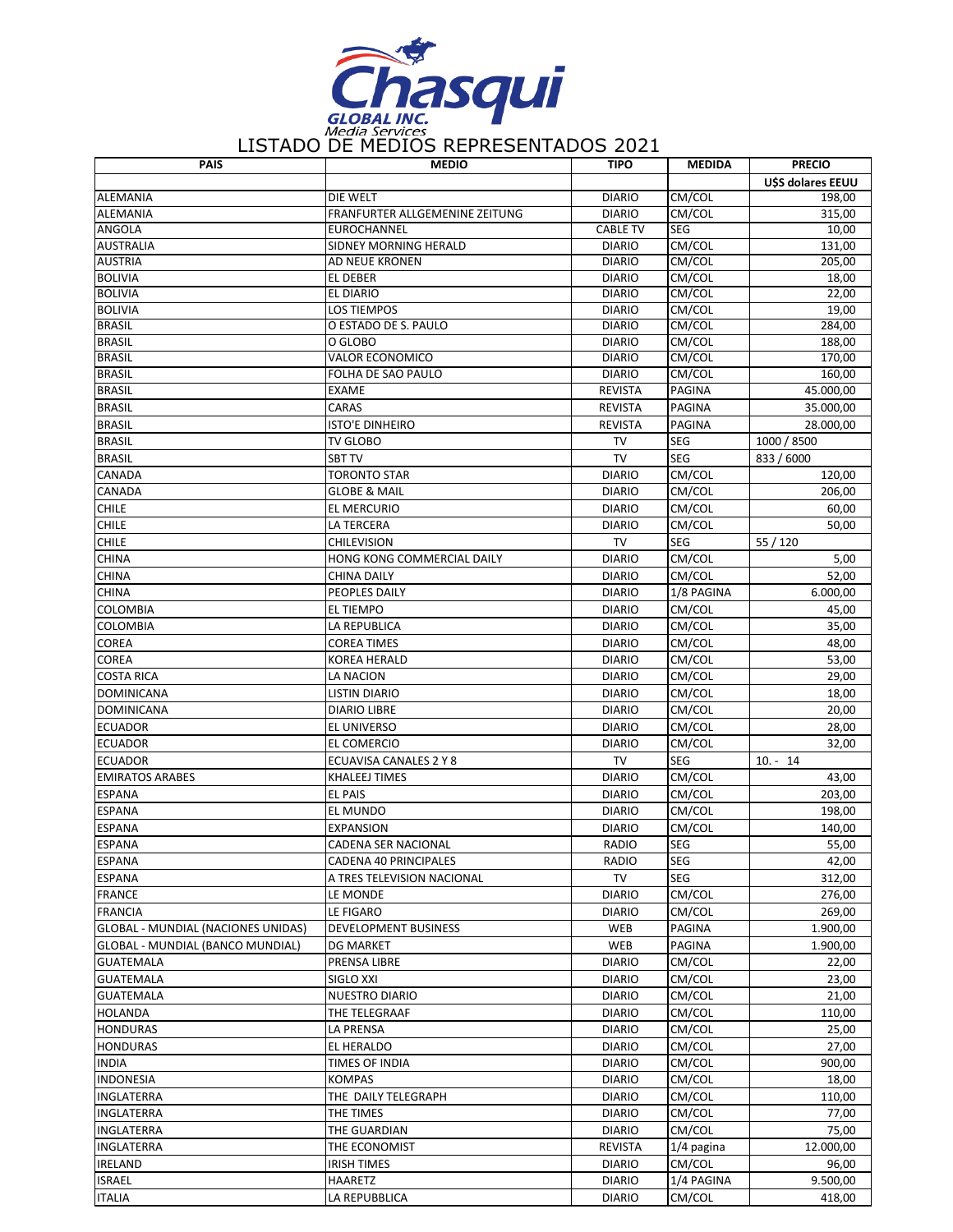

| <b>PAIS</b>                               | <b>MEDIO</b>                          | <b>TIPO</b>                     | <b>MEDIDA</b> | <b>PRECIO</b>     |
|-------------------------------------------|---------------------------------------|---------------------------------|---------------|-------------------|
|                                           |                                       |                                 |               | U\$S dolares EEUU |
| <b>ALEMANIA</b>                           | DIE WELT                              | <b>DIARIO</b>                   | CM/COL        | 198,00            |
| <b>ALEMANIA</b>                           | <b>FRANFURTER ALLGEMENINE ZEITUNG</b> | <b>DIARIO</b>                   | CM/COL        | 315,00            |
| ANGOLA                                    | EUROCHANNEL                           | <b>CABLE TV</b>                 | <b>SEG</b>    | 10,00             |
| <b>AUSTRALIA</b>                          | SIDNEY MORNING HERALD                 | <b>DIARIO</b>                   | CM/COL        | 131,00            |
| <b>AUSTRIA</b>                            | AD NEUE KRONEN                        | <b>DIARIO</b>                   | CM/COL        | 205,00            |
| <b>BOLIVIA</b>                            | EL DEBER                              | <b>DIARIO</b>                   | CM/COL        | 18,00             |
| <b>BOLIVIA</b>                            | EL DIARIO                             | <b>DIARIO</b>                   | CM/COL        | 22,00             |
| <b>BOLIVIA</b>                            | <b>LOS TIEMPOS</b>                    | <b>DIARIO</b>                   | CM/COL        | 19,00             |
| <b>BRASIL</b>                             | O ESTADO DE S. PAULO                  | <b>DIARIO</b>                   | CM/COL        | 284,00            |
| <b>BRASIL</b>                             | O GLOBO                               | <b>DIARIO</b>                   | CM/COL        | 188,00            |
| <b>BRASIL</b>                             | <b>VALOR ECONOMICO</b>                | <b>DIARIO</b>                   | CM/COL        | 170,00            |
| <b>BRASIL</b>                             | FOLHA DE SAO PAULO                    | <b>DIARIO</b>                   | CM/COL        | 160,00            |
| <b>BRASIL</b>                             | <b>EXAME</b>                          | <b>REVISTA</b>                  | PAGINA        | 45.000,00         |
| <b>BRASIL</b>                             | CARAS                                 | <b>REVISTA</b>                  | PAGINA        | 35.000,00         |
| <b>BRASIL</b>                             | <b>ISTO'E DINHEIRO</b>                | <b>REVISTA</b>                  | <b>PAGINA</b> | 28.000,00         |
| <b>BRASIL</b>                             | <b>TV GLOBO</b>                       | TV                              | <b>SEG</b>    | 1000 / 8500       |
| <b>BRASIL</b>                             | <b>SBT TV</b>                         | <b>TV</b>                       | <b>SEG</b>    | 833 / 6000        |
| CANADA                                    | <b>TORONTO STAR</b>                   | <b>DIARIO</b>                   | CM/COL        | 120,00            |
| CANADA                                    | <b>GLOBE &amp; MAIL</b>               | <b>DIARIO</b>                   | CM/COL        | 206,00            |
| <b>CHILE</b>                              | EL MERCURIO                           | <b>DIARIO</b>                   | CM/COL        | 60,00             |
| <b>CHILE</b>                              | <b>LA TERCERA</b>                     | <b>DIARIO</b>                   | CM/COL        | 50,00             |
| <b>CHILE</b>                              | <b>CHILEVISION</b>                    | <b>TV</b>                       | <b>SEG</b>    | 55 / 120          |
| <b>CHINA</b>                              | HONG KONG COMMERCIAL DAILY            | <b>DIARIO</b>                   | CM/COL        | 5,00              |
| <b>CHINA</b>                              | <b>CHINA DAILY</b>                    | <b>DIARIO</b>                   | CM/COL        | 52,00             |
| <b>CHINA</b>                              | PEOPLES DAILY                         | <b>DIARIO</b>                   | 1/8 PAGINA    | 6.000,00          |
| <b>COLOMBIA</b>                           | <b>EL TIEMPO</b>                      | <b>DIARIO</b>                   | CM/COL        | 45,00             |
| <b>COLOMBIA</b>                           | LA REPUBLICA                          | <b>DIARIO</b>                   | CM/COL        | 35,00             |
| COREA                                     | <b>COREA TIMES</b>                    | <b>DIARIO</b>                   | CM/COL        | 48,00             |
| <b>COREA</b>                              | <b>KOREA HERALD</b>                   | <b>DIARIO</b>                   | CM/COL        | 53,00             |
| <b>COSTA RICA</b>                         | LA NACION                             | <b>DIARIO</b>                   | CM/COL        | 29,00             |
| <b>DOMINICANA</b>                         | <b>LISTIN DIARIO</b>                  | <b>DIARIO</b>                   | CM/COL        | 18,00             |
| <b>DOMINICANA</b>                         | <b>DIARIO LIBRE</b>                   | <b>DIARIO</b>                   | CM/COL        | 20,00             |
| <b>ECUADOR</b>                            | EL UNIVERSO                           | <b>DIARIO</b>                   | CM/COL        | 28,00             |
| <b>ECUADOR</b>                            | EL COMERCIO                           | <b>DIARIO</b>                   | CM/COL        | 32,00             |
| <b>ECUADOR</b>                            | ECUAVISA CANALES 2 Y 8                | <b>TV</b>                       | <b>SEG</b>    | $10. - 14$        |
| <b>EMIRATOS ARABES</b>                    | <b>KHALEEJ TIMES</b>                  | <b>DIARIO</b>                   | CM/COL        | 43,00             |
| <b>ESPANA</b>                             | <b>EL PAIS</b>                        | <b>DIARIO</b>                   | CM/COL        | 203,00            |
| <b>ESPANA</b>                             | EL MUNDO                              | <b>DIARIO</b>                   | CM/COL        | 198,00            |
| <b>ESPANA</b>                             | EXPANSION                             | <b>DIARIO</b>                   | CM/COL        | 140,00            |
| <b>ESPANA</b>                             | CADENA SER NACIONAL                   | <b>RADIO</b>                    | SEG           | 55,00             |
| <b>ESPANA</b>                             | CADENA 40 PRINCIPALES                 | RADIO                           | SEG           | 42,00             |
| <b>ESPANA</b>                             | A TRES TELEVISION NACIONAL            | TV                              | SEG           | 312,00            |
| <b>FRANCE</b>                             | LE MONDE                              | <b>DIARIO</b>                   | CM/COL        | 276,00            |
| <b>FRANCIA</b>                            | LE FIGARO                             | <b>DIARIO</b>                   | CM/COL        | 269,00            |
| <b>GLOBAL - MUNDIAL (NACIONES UNIDAS)</b> | DEVELOPMENT BUSINESS                  | WEB                             | PAGINA        | 1.900,00          |
| GLOBAL - MUNDIAL (BANCO MUNDIAL)          | <b>DG MARKET</b>                      | WEB                             | PAGINA        | 1.900,00          |
| <b>GUATEMALA</b>                          | PRENSA LIBRE                          | <b>DIARIO</b>                   | CM/COL        | 22,00             |
| <b>GUATEMALA</b>                          | SIGLO XXI                             | <b>DIARIO</b>                   | CM/COL        | 23,00             |
| <b>GUATEMALA</b>                          | <b>NUESTRO DIARIO</b>                 | <b>DIARIO</b>                   | CM/COL        | 21,00             |
| <b>HOLANDA</b>                            | THE TELEGRAAF                         | <b>DIARIO</b>                   | CM/COL        | 110,00            |
| <b>HONDURAS</b>                           | <b>LA PRENSA</b>                      | <b>DIARIO</b>                   | CM/COL        | 25,00             |
| <b>HONDURAS</b>                           | EL HERALDO                            | <b>DIARIO</b>                   | CM/COL        | 27,00             |
| <b>INDIA</b>                              | TIMES OF INDIA                        | <b>DIARIO</b>                   | CM/COL        | 900,00            |
| <b>INDONESIA</b>                          | <b>KOMPAS</b>                         | <b>DIARIO</b>                   | CM/COL        | 18,00             |
| INGLATERRA                                | THE DAILY TELEGRAPH                   | <b>DIARIO</b>                   | CM/COL        | 110,00            |
| <b>INGLATERRA</b>                         | THE TIMES                             | <b>DIARIO</b>                   | CM/COL        | 77,00             |
| <b>INGLATERRA</b>                         |                                       |                                 | CM/COL        |                   |
| <b>INGLATERRA</b>                         | THE GUARDIAN                          | <b>DIARIO</b><br><b>REVISTA</b> |               | 75,00             |
|                                           | THE ECONOMIST                         |                                 | $1/4$ pagina  | 12.000,00         |
| <b>IRELAND</b>                            | IRISH TIMES                           | <b>DIARIO</b>                   | CM/COL        | 96,00             |
| <b>ISRAEL</b>                             | HAARETZ                               | <b>DIARIO</b>                   | 1/4 PAGINA    | 9.500,00          |
| <b>ITALIA</b>                             | LA REPUBBLICA                         | <b>DIARIO</b>                   | CM/COL        | 418,00            |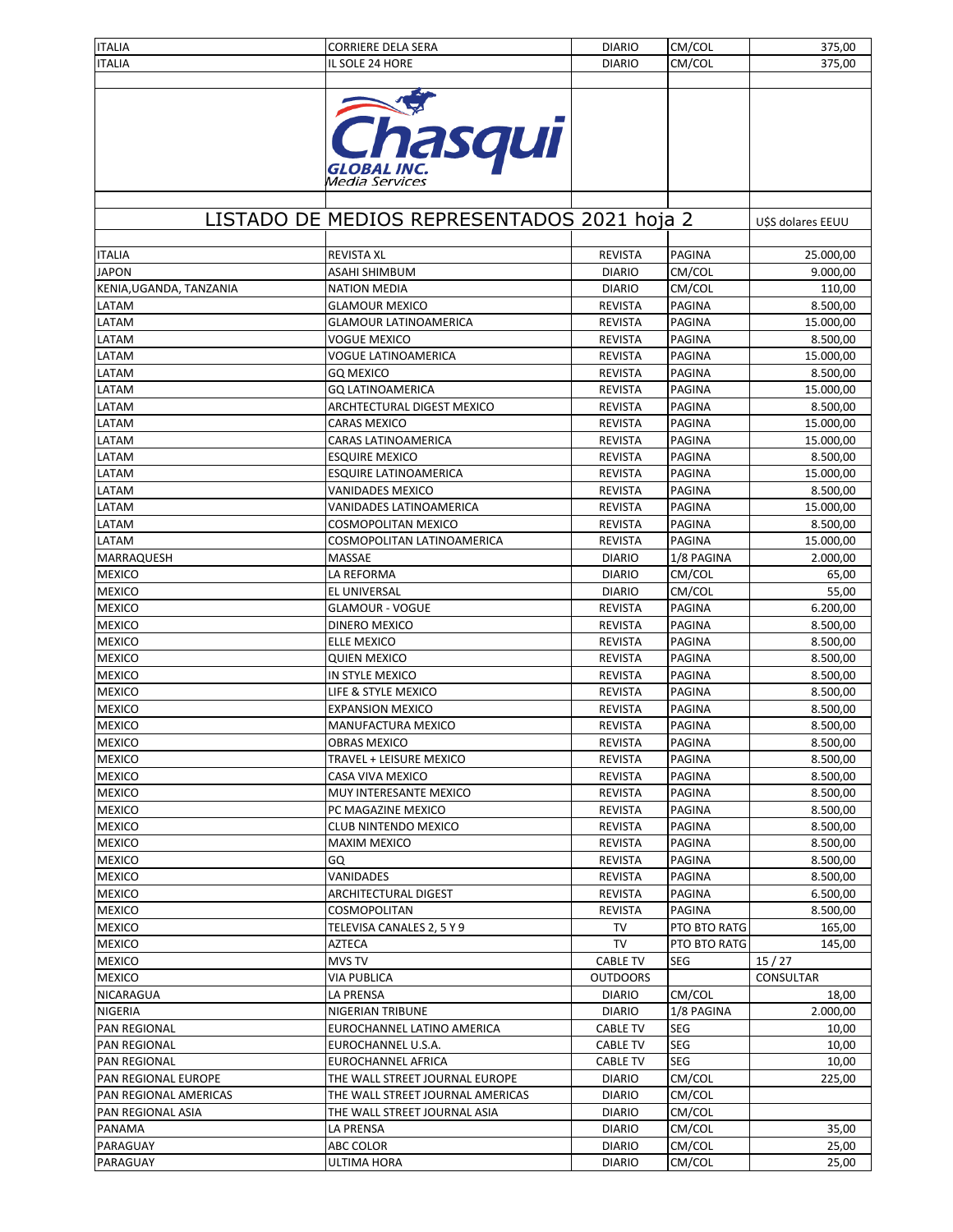| <b>ITALIA</b>           | <b>CORRIERE DELA SERA</b>                             | <b>DIARIO</b>   | CM/COL        | 375,00           |
|-------------------------|-------------------------------------------------------|-----------------|---------------|------------------|
| <b>ITALIA</b>           | IL SOLE 24 HORE                                       | <b>DIARIO</b>   | CM/COL        | 375,00           |
|                         |                                                       |                 |               |                  |
|                         |                                                       |                 |               |                  |
|                         |                                                       |                 |               |                  |
|                         | Chasqui                                               |                 |               |                  |
|                         |                                                       |                 |               |                  |
|                         |                                                       |                 |               |                  |
|                         | <b>GLOBAL INC.</b><br>Media Services                  |                 |               |                  |
|                         |                                                       |                 |               |                  |
|                         |                                                       |                 |               |                  |
|                         | LISTADO DE MEDIOS REPRESENTADOS 2021 hoja 2           |                 |               | USS dolares EEUU |
|                         |                                                       |                 |               |                  |
| <b>ITALIA</b>           | <b>REVISTA XL</b>                                     | <b>REVISTA</b>  | PAGINA        | 25.000,00        |
| <b>JAPON</b>            | ASAHI SHIMBUM                                         | <b>DIARIO</b>   | CM/COL        | 9.000,00         |
| KENIA, UGANDA, TANZANIA | <b>NATION MEDIA</b>                                   | <b>DIARIO</b>   | CM/COL        | 110,00           |
| LATAM                   | <b>GLAMOUR MEXICO</b>                                 | <b>REVISTA</b>  | PAGINA        | 8.500,00         |
| LATAM                   | <b>GLAMOUR LATINOAMERICA</b>                          | <b>REVISTA</b>  | PAGINA        | 15.000,00        |
| LATAM                   | VOGUE MEXICO                                          | <b>REVISTA</b>  | PAGINA        | 8.500,00         |
| LATAM                   | VOGUE LATINOAMERICA                                   | <b>REVISTA</b>  | PAGINA        | 15.000,00        |
| LATAM                   | GQ MEXICO                                             | <b>REVISTA</b>  | <b>PAGINA</b> | 8.500,00         |
| LATAM                   | <b>GQ LATINOAMERICA</b>                               | <b>REVISTA</b>  | <b>PAGINA</b> | 15.000,00        |
| LATAM                   | ARCHTECTURAL DIGEST MEXICO                            | <b>REVISTA</b>  | PAGINA        | 8.500,00         |
| LATAM                   | <b>CARAS MEXICO</b>                                   | <b>REVISTA</b>  | PAGINA        | 15.000,00        |
| LATAM                   | CARAS LATINOAMERICA                                   | <b>REVISTA</b>  | <b>PAGINA</b> | 15.000,00        |
| LATAM                   |                                                       |                 | <b>PAGINA</b> | 8.500,00         |
| LATAM                   | <b>ESQUIRE MEXICO</b><br><b>ESQUIRE LATINOAMERICA</b> | <b>REVISTA</b>  |               |                  |
|                         |                                                       | <b>REVISTA</b>  | <b>PAGINA</b> | 15.000,00        |
| LATAM                   | <b>VANIDADES MEXICO</b>                               | <b>REVISTA</b>  | <b>PAGINA</b> | 8.500,00         |
| LATAM                   | VANIDADES LATINOAMERICA                               | <b>REVISTA</b>  | PAGINA        | 15.000,00        |
| LATAM                   | COSMOPOLITAN MEXICO                                   | <b>REVISTA</b>  | PAGINA        | 8.500,00         |
| LATAM                   | COSMOPOLITAN LATINOAMERICA                            | <b>REVISTA</b>  | <b>PAGINA</b> | 15.000,00        |
| MARRAQUESH              | MASSAE                                                | <b>DIARIO</b>   | 1/8 PAGINA    | 2.000,00         |
| <b>MEXICO</b>           | LA REFORMA                                            | <b>DIARIO</b>   | CM/COL        | 65,00            |
| <b>MEXICO</b>           | EL UNIVERSAL                                          | <b>DIARIO</b>   | CM/COL        | 55,00            |
| <b>MEXICO</b>           | <b>GLAMOUR - VOGUE</b>                                | <b>REVISTA</b>  | PAGINA        | 6.200,00         |
| <b>MEXICO</b>           | DINERO MEXICO                                         | <b>REVISTA</b>  | <b>PAGINA</b> | 8.500,00         |
| <b>MEXICO</b>           | <b>ELLE MEXICO</b>                                    | <b>REVISTA</b>  | <b>PAGINA</b> | 8.500,00         |
| <b>MEXICO</b>           | <b>QUIEN MEXICO</b>                                   | <b>REVISTA</b>  | PAGINA        | 8.500,00         |
| <b>MEXICO</b>           | IN STYLE MEXICO                                       | <b>REVISTA</b>  | PAGINA        | 8.500,00         |
| <b>MEXICO</b>           | LIFE & STYLE MEXICO                                   | <b>REVISTA</b>  | PAGINA        | 8.500,00         |
| <b>MEXICO</b>           | <b>EXPANSION MEXICO</b>                               | <b>REVISTA</b>  | PAGINA        | 8.500,00         |
| <b>MEXICO</b>           | MANUFACTURA MEXICO                                    | <b>REVISTA</b>  | <b>PAGINA</b> | 8.500,00         |
| <b>MEXICO</b>           | OBRAS MEXICO                                          | REVISTA         | PAGINA        | 8.500,00         |
| <b>MEXICO</b>           | TRAVEL + LEISURE MEXICO                               | <b>REVISTA</b>  | PAGINA        | 8.500,00         |
| <b>MEXICO</b>           | CASA VIVA MEXICO                                      | <b>REVISTA</b>  | PAGINA        | 8.500,00         |
| <b>MEXICO</b>           | MUY INTERESANTE MEXICO                                | <b>REVISTA</b>  | PAGINA        | 8.500,00         |
| <b>MEXICO</b>           | PC MAGAZINE MEXICO                                    | <b>REVISTA</b>  | PAGINA        | 8.500,00         |
| <b>MEXICO</b>           | CLUB NINTENDO MEXICO                                  | REVISTA         | PAGINA        | 8.500,00         |
| <b>MEXICO</b>           | MAXIM MEXICO                                          | <b>REVISTA</b>  | PAGINA        | 8.500,00         |
| <b>MEXICO</b>           | GQ                                                    | <b>REVISTA</b>  | PAGINA        | 8.500,00         |
| <b>MEXICO</b>           | VANIDADES                                             | <b>REVISTA</b>  | PAGINA        | 8.500,00         |
| <b>MEXICO</b>           | ARCHITECTURAL DIGEST                                  | <b>REVISTA</b>  | PAGINA        | 6.500,00         |
| <b>MEXICO</b>           | COSMOPOLITAN                                          | REVISTA         | PAGINA        |                  |
|                         |                                                       |                 |               | 8.500,00         |
| <b>MEXICO</b>           | TELEVISA CANALES 2, 5 Y 9                             | TV              | PTO BTO RATG  | 165,00           |
| <b>MEXICO</b>           | AZTECA                                                | <b>TV</b>       | PTO BTO RATG  | 145,00           |
| <b>MEXICO</b>           | MVS TV                                                | <b>CABLE TV</b> | SEG           | 15/27            |
| <b>MEXICO</b>           | VIA PUBLICA                                           | <b>OUTDOORS</b> |               | <b>CONSULTAR</b> |
| NICARAGUA               | LA PRENSA                                             | <b>DIARIO</b>   | CM/COL        | 18,00            |
| NIGERIA                 | NIGERIAN TRIBUNE                                      | <b>DIARIO</b>   | 1/8 PAGINA    | 2.000,00         |
| PAN REGIONAL            | EUROCHANNEL LATINO AMERICA                            | <b>CABLE TV</b> | SEG           | 10,00            |
| PAN REGIONAL            | EUROCHANNEL U.S.A.                                    | <b>CABLE TV</b> | SEG           | 10,00            |
| PAN REGIONAL            | EUROCHANNEL AFRICA                                    | <b>CABLE TV</b> | SEG           | 10,00            |
| PAN REGIONAL EUROPE     | THE WALL STREET JOURNAL EUROPE                        | <b>DIARIO</b>   | CM/COL        | 225,00           |
| PAN REGIONAL AMERICAS   | THE WALL STREET JOURNAL AMERICAS                      | <b>DIARIO</b>   | CM/COL        |                  |
| PAN REGIONAL ASIA       | THE WALL STREET JOURNAL ASIA                          | <b>DIARIO</b>   | CM/COL        |                  |
| PANAMA                  | LA PRENSA                                             | <b>DIARIO</b>   | CM/COL        | 35,00            |
| PARAGUAY                | ABC COLOR                                             | <b>DIARIO</b>   | CM/COL        | 25,00            |
| PARAGUAY                | ULTIMA HORA                                           | <b>DIARIO</b>   | CM/COL        | 25,00            |